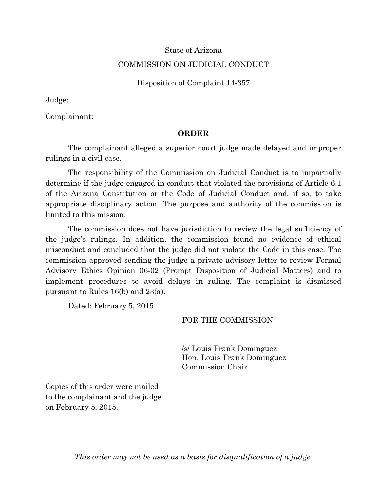### State of Arizona

#### COMMISSION ON JUDICIAL CONDUCT

Disposition of Complaint 14-357

Judge:

Complainant:

#### **ORDER**

The complainant alleged a superior court judge made delayed and improper rulings in a civil case.

The responsibility of the Commission on Judicial Conduct is to impartially determine if the judge engaged in conduct that violated the provisions of Article 6.1 of the Arizona Constitution or the Code of Judicial Conduct and, if so, to take appropriate disciplinary action. The purpose and authority of the commission is limited to this mission.

The commission does not have jurisdiction to review the legal sufficiency of the judge's rulings. In addition, the commission found no evidence of ethical misconduct and concluded that the judge did not violate the Code in this case. The commission approved sending the judge a private advisory letter to review Formal Advisory Ethics Opinion 06-02 (Prompt Disposition of Judicial Matters) and to implement procedures to avoid delays in ruling. The complaint is dismissed pursuant to Rules 16(b) and 23(a).

Dated: February 5, 2015

### FOR THE COMMISSION

/s/ Louis Frank Dominguez Hon. Louis Frank Dominguez Commission Chair

Copies of this order were mailed to the complainant and the judge on February 5, 2015.

*This order may not be used as a basis for disqualification of a judge.*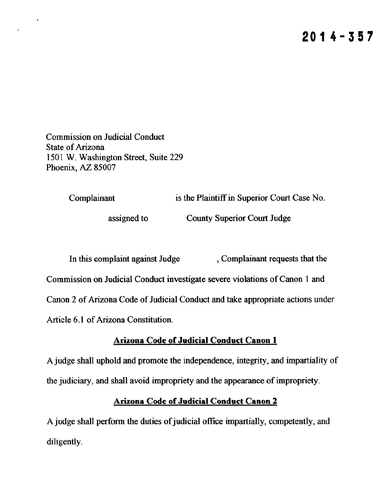**Commission on Judicial Conduct State of Arizona** 1501 W. Washington Street, Suite 229 Phoenix, AZ 85007

> Complainant is the Plaintiff in Superior Court Case No.

> > assigned to

**County Superior Court Judge** 

In this complaint against Judge , Complainant requests that the Commission on Judicial Conduct investigate severe violations of Canon 1 and Canon 2 of Arizona Code of Judicial Conduct and take appropriate actions under Article 6.1 of Arizona Constitution.

## **Arizona Code of Judicial Conduct Canon 1**

A judge shall uphold and promote the independence, integrity, and impartiality of the judiciary, and shall avoid impropriety and the appearance of impropriety.

# **Arizona Code of Judicial Conduct Canon 2**

A judge shall perform the duties of judicial office impartially, competently, and diligently.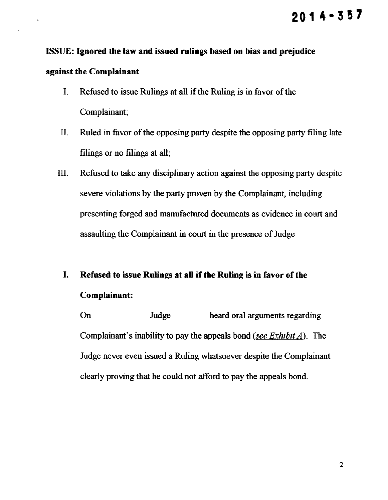# $2014 - 357$

## **ISSUE:** Ignored the law and issued rulings based on bias and prejudice

## against the Complainant

- Refused to issue Rulings at all if the Ruling is in favor of the  $\mathbf{I}$ . Complainant;
- Π. Ruled in favor of the opposing party despite the opposing party filing late filings or no filings at all.
- Refused to take any disciplinary action against the opposing party despite Ш. severe violations by the party proven by the Complainant, including presenting forged and manufactured documents as evidence in court and assaulting the Complainant in court in the presence of Judge

# I. Refused to issue Rulings at all if the Ruling is in favor of the Complainant:

On Judge heard oral arguments regarding Complainant's inability to pay the appeals bond (see Exhibit  $\vec{A}$ ). The Judge never even issued a Ruling whatsoever despite the Complainant clearly proving that he could not afford to pay the appeals bond.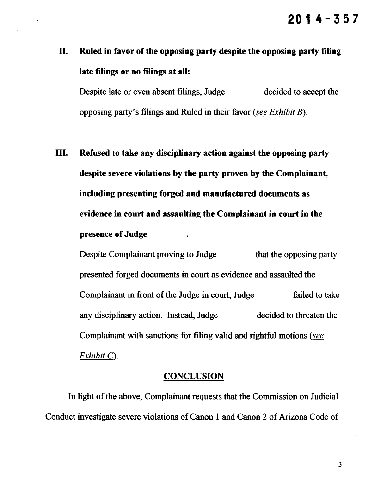# II. Ruled in favor of the opposing party despite the opposing party filing late filings or no filings at all:

Despite late or even absent filings, Judge decided to accept the opposing party's filings and Ruled in their favor (see Exhibit  $B$ ).

Ш. Refused to take any disciplinary action against the opposing party despite severe violations by the party proven by the Complainant, including presenting forged and manufactured documents as evidence in court and assaulting the Complainant in court in the presence of Judge

Despite Complainant proving to Judge that the opposing party presented forged documents in court as evidence and assaulted the Complainant in front of the Judge in court, Judge failed to take any disciplinary action. Instead, Judge decided to threaten the Complainant with sanctions for filing valid and rightful motions (see  $Exhibit C$ ).

## **CONCLUSION**

In light of the above, Complainant requests that the Commission on Judicial Conduct investigate severe violations of Canon 1 and Canon 2 of Arizona Code of